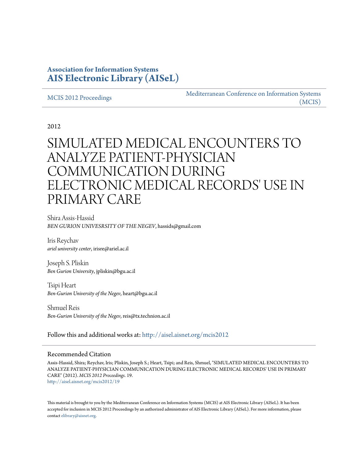# **Association for Information Systems [AIS Electronic Library \(AISeL\)](http://aisel.aisnet.org?utm_source=aisel.aisnet.org%2Fmcis2012%2F19&utm_medium=PDF&utm_campaign=PDFCoverPages)**

#### [MCIS 2012 Proceedings](http://aisel.aisnet.org/mcis2012?utm_source=aisel.aisnet.org%2Fmcis2012%2F19&utm_medium=PDF&utm_campaign=PDFCoverPages)

[Mediterranean Conference on Information Systems](http://aisel.aisnet.org/mcis?utm_source=aisel.aisnet.org%2Fmcis2012%2F19&utm_medium=PDF&utm_campaign=PDFCoverPages) [\(MCIS\)](http://aisel.aisnet.org/mcis?utm_source=aisel.aisnet.org%2Fmcis2012%2F19&utm_medium=PDF&utm_campaign=PDFCoverPages)

2012

# SIMULATED MEDICAL ENCOUNTERS TO ANALYZE PATIENT-PHYSICIAN COMMUNICATION DURING ELECTRONIC MEDICAL RECORDS' USE IN PRIMARY CARE

Shira Assis-Hassid *BEN GURION UNIVESRSITY OF THE NEGEV*, hassids@gmail.com

Iris Reychav *ariel university center*, irisre@ariel.ac.il

Joseph S. Pliskin *Ben Gurion University*, jpliskin@bgu.ac.il

Tsipi Heart *Ben-Gurion University of the Negev*, heart@bgu.ac.il

Shmuel Reis *Ben-Gurion University of the Negev*, reis@tx.technion.ac.il

Follow this and additional works at: [http://aisel.aisnet.org/mcis2012](http://aisel.aisnet.org/mcis2012?utm_source=aisel.aisnet.org%2Fmcis2012%2F19&utm_medium=PDF&utm_campaign=PDFCoverPages)

#### Recommended Citation

Assis-Hassid, Shira; Reychav, Iris; Pliskin, Joseph S.; Heart, Tsipi; and Reis, Shmuel, "SIMULATED MEDICAL ENCOUNTERS TO ANALYZE PATIENT-PHYSICIAN COMMUNICATION DURING ELECTRONIC MEDICAL RECORDS' USE IN PRIMARY CARE" (2012). *MCIS 2012 Proceedings*. 19. [http://aisel.aisnet.org/mcis2012/19](http://aisel.aisnet.org/mcis2012/19?utm_source=aisel.aisnet.org%2Fmcis2012%2F19&utm_medium=PDF&utm_campaign=PDFCoverPages)

This material is brought to you by the Mediterranean Conference on Information Systems (MCIS) at AIS Electronic Library (AISeL). It has been accepted for inclusion in MCIS 2012 Proceedings by an authorized administrator of AIS Electronic Library (AISeL). For more information, please contact [elibrary@aisnet.org.](mailto:elibrary@aisnet.org%3E)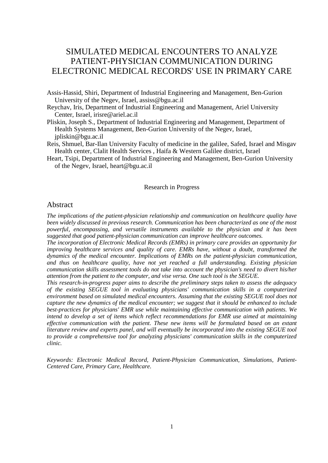# SIMULATED MEDICAL ENCOUNTERS TO ANALYZE PATIENT-PHYSICIAN COMMUNICATION DURING ELECTRONIC MEDICAL RECORDS' USE IN PRIMARY CARE

- Assis-Hassid, Shiri, Department of Industrial Engineering and Management, Ben-Gurion University of the Negev, Israel, assiss@bgu.ac.il
- Reychav, Iris, Department of Industrial Engineering and Management, Ariel University Center, Israel, irisre@ariel.ac.il
- Pliskin, Joseph S., Department of Industrial Engineering and Management, Department of Health Systems Management, Ben-Gurion University of the Negev, Israel, [jpliskin@bgu.ac.il](mailto:jpliskin@bgu.ac.il)
- Reis, Shmuel, Bar-Ilan University Faculty of medicine in the galilee, Safed, Israel and Misgav Health center, Clalit Health Services , Haifa & Western Galilee district, Israel
- Heart, Tsipi, Department of Industrial Engineering and Management, Ben-Gurion University of the Negev, Israel, [heart@bgu.ac.il](mailto:heart@bgu.ac.il)

#### Research in Progress

#### Abstract

*The implications of the patient-physician relationship and communication on healthcare quality have been widely discussed in previous research. Communication has been characterized as one of the most powerful, encompassing, and versatile instruments available to the physician and it has been suggested that good patient-physician communication can improve healthcare outcomes.* 

*The incorporation of Electronic Medical Records (EMRs) in primary care provides an opportunity for improving healthcare services and quality of care. EMRs have, without a doubt, transformed the dynamics of the medical encounter. Implications of EMRs on the patient-physician communication, and thus on healthcare quality, have not yet reached a full understanding. Existing physician communication skills assessment tools do not take into account the physician's need to divert his/her attention from the patient to the computer, and vise versa. One such tool is the SEGUE.*

*This research-in-progress paper aims to describe the preliminary steps taken to assess the adequacy of the existing SEGUE tool in evaluating physicians' communication skills in a computerized environment based on simulated medical encounters. Assuming that the existing SEGUE tool does not capture the new dynamics of the medical encounter; we suggest that it should be enhanced to include best-practices for physicians' EMR use while maintaining effective communication with patients. We intend to develop a set of items which reflect recommendations for EMR use aimed at maintaining effective communication with the patient. These new items will be formulated based on an extant literature review and experts panel, and will eventually be incorporated into the existing SEGUE tool to provide a comprehensive tool for analyzing physicians' communication skills in the computerized clinic.* 

*Keywords: Electronic Medical Record, Patient-Physician Communication, Simulations, Patient-Centered Care, Primary Care, Healthcare.*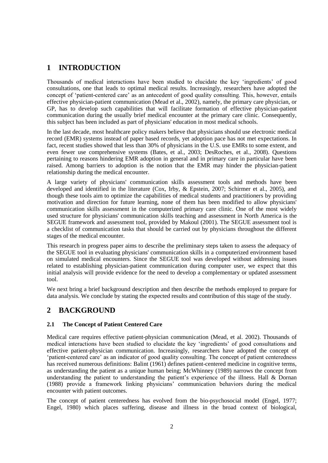## **1 INTRODUCTION**

Thousands of medical interactions have been studied to elucidate the key 'ingredients' of good consultations, one that leads to optimal medical results. Increasingly, researchers have adopted the concept of 'patient-centered care' as an antecedent of good quality consulting. This, however, entails effective physician-patient communication (Mead et al., 2002), namely, the primary care physician, or GP, has to develop such capabilities that will facilitate formation of effective physician-patient communication during the usually brief medical encounter at the primary care clinic. Consequently, this subject has been included as part of physicians' education in most medical schools.

In the last decade, most healthcare policy makers believe that physicians should use electronic medical record (EMR) systems instead of paper based records, yet adoption pace has not met expectations. In fact, recent studies showed that less than 30% of physicians in the U.S. use EMRs to some extent, and even fewer use comprehensive systems (Bates, et al., 2003; DesRoches, et al., 2008). Questions pertaining to reasons hindering EMR adoption in general and in primary care in particular have been raised. Among barriers to adoption is the notion that the EMR may hinder the physician-patient relationship during the medical encounter.

A large variety of physicians' communication skills assessment tools and methods have been developed and identified in the literature (Cox, Irby, & Epstein, 2007; Schirmer et al., 2005), and though these tools aim to optimize the capabilities of medical students and practitioners by providing motivation and direction for future learning, none of them has been modified to allow physicians' communication skills assessment in the computerized primary care clinic. One of the most widely used structure for physicians' communication skills teaching and assessment in North America is the SEGUE framework and assessment tool, provided by Makoul (2001). The SEGUE assessment tool is a checklist of communication tasks that should be carried out by physicians throughout the different stages of the medical encounter.

This research in progress paper aims to describe the preliminary steps taken to assess the adequacy of the SEGUE tool in evaluating physicians' communication skills in a computerized environment based on simulated medical encounters. Since the SEGUE tool was developed without addressing issues related to establishing physician-patient communication during computer user, we expect that this initial analysis will provide evidence for the need to develop a complementary or updated assessment tool.

We next bring a brief background description and then describe the methods employed to prepare for data analysis. We conclude by stating the expected results and contribution of this stage of the study.

### **2 BACKGROUND**

#### **2.1 The Concept of Patient Centered Care**

Medical care requires effective patient-physician communication (Mead, et al. 2002). Thousands of medical interactions have been studied to elucidate the key 'ingredients' of good consultations and effective patient-physician communication. Increasingly, researchers have adopted the concept of 'patient-centered care' as an indicator of good quality consulting. The concept of patient centeredness has received numerous definitions: Balint (1961) defines patient-centered medicine in cognitive terms, as understanding the patient as a unique human being; McWhinney (1989) narrows the concept from understanding the patient to understanding the patient's experience of the illness. Hall & Dornan (1988) provide a framework linking physicians' communication behaviors during the medical encounter with patient outcomes.

The concept of patient centeredness has evolved from the bio-psychosocial model (Engel, 1977; Engel, 1980) which places suffering, disease and illness in the broad context of biological,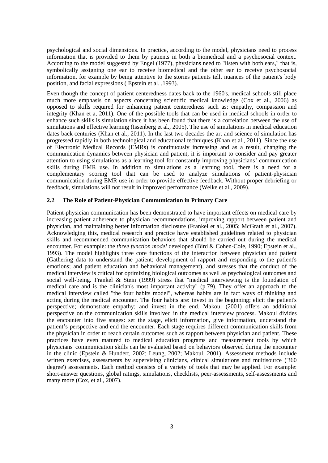psychological and social dimensions. In practice, according to the model, physicians need to process information that is provided to them by patients in both a biomedical and a psychosocial context. According to the model suggested by Engel (1977), physicians need to "listen with both ears," that is, symbolically assigning one ear to receive biomedical and the other ear to receive psychosocial information, for example by being attentive to the stories patients tell, nuances of the patient's body position, and facial expressions ( Epstein et al. ,1993).

Even though the concept of patient centeredness dates back to the 1960's, medical schools still place much more emphasis on aspects concerning scientific medical knowledge (Cox et al., 2006) as opposed to skills required for enhancing patient centeredness such as: empathy, compassion and integrity (Khan et a, 2011). One of the possible tools that can be used in medical schools in order to enhance such skills is simulation since it has been found that there is a correlation between the use of simulations and effective learning (Issenberg et al., 2005). The use of simulations in medical education dates back centuries (Khan et al., 2011). In the last two decades the art and science of simulation has progressed rapidly in both technological and educational techniques (Khan et al., 2011). Since the use of Electronic Medical Records (EMRs) is continuously increasing and as a result, changing the communication dynamics between physician and patient, it is important to consider and pay greater attention to using simulations as a learning tool for constantly improving physicians' communication skills during EMR use. In addition to simulations as a learning tool, there is a need for a complementary scoring tool that can be used to analyze simulations of patient-physician communication during EMR use in order to provide effective feedback. Without proper debriefing or feedback, simulations will not result in improved performance (Welke et al., 2009).

#### **2.2 The Role of Patient-Physician Communication in Primary Care**

Patient-physician communication has been demonstrated to have important effects on medical care by increasing patient adherence to physician recommendations, improving rapport between patient and physician, and maintaining better information disclosure (Frankel et al., 2005; McGrath et al., 2007). Acknowledging this, medical research and practice have established guidelines related to physician skills and recommended communication behaviors that should be carried out during the medical encounter. For example: the *three function model* developed (Bird & Cohen-Cole, 1990; Epstein et al., 1993). The model highlights three core functions of the interaction between physician and patient (Gathering data to understand the patient; development of rapport and responding to the patient's emotions; and patient education and behavioral management), and stresses that the conduct of the medical interview is critical for optimizing biological outcomes as well as psychological outcomes and social well-being. Frankel & Stein (1999) stress that "medical interviewing is the foundation of medical care and is the clinician's most important activity" (p.79). They offer an approach to the medical interview called "the four habits model", whereas habits are in fact ways of thinking and acting during the medical encounter. The four habits are: invest in the beginning; elicit the patient's perspective; demonstrate empathy; and invest in the end. Makoul (2001) offers an additional perspective on the communication skills involved in the medical interview process. Makoul divides the encounter into five stages: set the stage, elicit information, give information, understand the patient's perspective and end the encounter. Each stage requires different communication skills from the physician in order to reach certain outcomes such as rapport between physician and patient. These practices have even matured to medical education programs and measurement tools by which physicians' communication skills can be evaluated based on behaviors observed during the encounter in the clinic (Epstein & Hundert, 2002; Leung, 2002; Makoul, 2001). Assessment methods include written exercises, assessments by supervising clinicians, clinical simulations and multisource ('360 degree') assessments. Each method consists of a variety of tools that may be applied. For example: short-answer questions, global ratings, simulations, checklists, peer-assessments, self-assessments and many more (Cox, et al., 2007).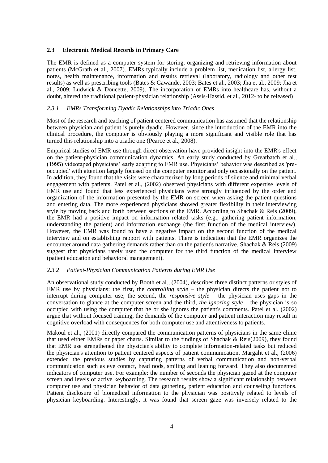#### **2.3 Electronic Medical Records in Primary Care**

The EMR is defined as a computer system for storing, organizing and retrieving information about patients (McGrath et al., 2007). EMRs typically include a problem list, medication list, allergy list, notes, health maintenance, information and results retrieval (laboratory, radiology and other test results) as well as prescribing tools (Bates & Gawande, 2003; Bates et al., 2003; Jha et al., 2009; Jha et al., 2009; Ludwick & Doucette, 2009). The incorporation of EMRs into healthcare has, without a doubt, altered the traditional patient-physician relationship (Assis-Hassid, et al., 2012- to be released)

#### *2.3.1 EMRs Transforming Dyadic Relationships into Triadic Ones*

Most of the research and teaching of patient centered communication has assumed that the relationship between physician and patient is purely dyadic. However, since the introduction of the EMR into the clinical procedure, the computer is obviously playing a more significant and visible role that has turned this relationship into a triadic one (Pearce et al., 2008).

Empirical studies of EMR use through direct observation have provided insight into the EMR's effect on the patient-physician communication dynamics. An early study conducted by Greatbatch et al., (1995) videotaped physicians' early adapting to EMR use. Physicians' behavior was described as 'preoccupied' with attention largely focused on the computer monitor and only occasionally on the patient. In addition, they found that the visits were characterized by long periods of silence and minimal verbal engagement with patients. Patel et al., (2002) observed physicians with different expertise levels of EMR use and found that less experienced physicians were strongly influenced by the order and organization of the information presented by the EMR on screen when asking the patient questions and entering data. The more experienced physicians showed greater flexibility in their interviewing style by moving back and forth between sections of the EMR. According to Shachak & Reis (2009), the EMR had a positive impact on information related tasks (e.g., gathering patient information, understanding the patient) and information exchange (the first function of the medical interview). However, the EMR was found to have a negative impact on the second function of the medical interview and on establishing rapport with patients. There is indication that the EMR organizes the encounter around data gathering demands rather than on the patient's narrative. Shachak & Reis (2009) suggest that physicians rarely used the computer for the third function of the medical interview (patient education and behavioral management).

#### *2.3.2 Patient-Physician Communication Patterns during EMR Use*

An observational study conducted by Booth et al., (2004), describes three distinct patterns or styles of EMR use by physicians: the first, the *controlling style* – the physician directs the patient not to interrupt during computer use; the second, the *responsive style* – the physician uses gaps in the conversation to glance at the computer screen and the third, *the ignoring style* – the physician is so occupied with using the computer that he or she ignores the patient's comments. Patel et al. (2002) argue that without focused training, the demands of the computer and patient interaction may result in cognitive overload with consequences for both computer use and attentiveness to patients.

Makoul et al., (2001) directly compared the communication patterns of physicians in the same clinic that used either EMRs or paper charts. Similar to the findings of Shachak & Reis(2009), they found that EMR use strengthened the physician's ability to complete information-related tasks but reduced the physician's attention to patient centered aspects of patient communication. Margalit et al., (2006) extended the previous studies by capturing patterns of verbal communication and non-verbal communication such as eye contact, head nods, smiling and leaning forward. They also documented indicators of computer use. For example: the number of seconds the physician gazed at the computer screen and levels of active keyboarding. The research results show a significant relationship between computer use and physician behavior of data gathering, patient education and counseling functions. Patient disclosure of biomedical information to the physician was positively related to levels of physician keyboarding. Interestingly, it was found that screen gaze was inversely related to the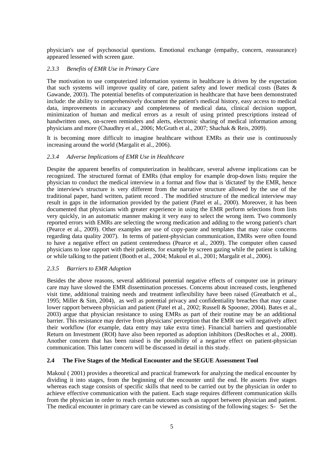physician's use of psychosocial questions. Emotional exchange (empathy, concern, reassurance) appeared lessened with screen gaze.

#### *2.3.3 Benefits of EMR Use in Primary Care*

The motivation to use computerized information systems in healthcare is driven by the expectation that such systems will improve quality of care, patient safety and lower medical costs (Bates & Gawande, 2003). The potential benefits of computerization in healthcare that have been demonstrated include: the ability to comprehensively document the patient's medical history, easy access to medical data, improvements in accuracy and completeness of medical data, clinical decision support, minimization of human and medical errors as a result of using printed prescriptions instead of handwritten ones, on-screen reminders and alerts, electronic sharing of medical information among physicians and more (Chaudhry et al., 2006; McGrath et al., 2007; Shachak & Reis, 2009).

It is becoming more difficult to imagine healthcare without EMRs as their use is continuously increasing around the world (Margalit et al., 2006).

#### *2.3.4 Adverse Implications of EMR Use in Healthcare*

Despite the apparent benefits of computerization in healthcare, several adverse implications can be recognized. The structured format of EMRs (that employ for example drop-down lists) require the physician to conduct the medical interview in a format and flow that is 'dictated' by the EMR, hence the interview's structure is very different from the narrative structure allowed by the use of the traditional paper, hand written, patient record . The modified structure of the medical interview may result in gaps in the information provided by the patient (Patel et al., 2000). Moreover, it has been documented that physicians with greater experience in using the EMR perform selections from lists very quickly, in an automatic manner making it very easy to select the wrong item. Two commonly reported errors with EMRs are selecting the wrong medication and adding to the wrong patient's chart (Pearce et al., 2009). Other examples are use of copy-paste and templates that may raise concerns regarding data quality 2007). In terms of patient-physician communication, EMRs were often found to have a negative effect on patient centeredness (Pearce et al., 2009). The computer often caused physicians to lose rapport with their patients, for example by screen gazing while the patient is talking or while talking to the patient (Booth et al., 2004; Makoul et al., 2001; Margalit et al., 2006).

#### *2.3.5 Barriers to EMR Adoption*

Besides the above reasons, several additional potential negative effects of computer use in primary care may have slowed the EMR dissemination processes. Concerns about increased costs, lengthened visit time, additional training needs and treatment inflexibility have been raised (Greatbatch et al., 1995; Miller & Sim, 2004), as well as potential privacy and confidentiality breaches that may cause lower rapport between physician and patient (Patel et al., 2002; Russell & Spooner, 2004). Bates et al., 2003) argue that physician resistance to using EMRs as part of their routine may be an additional barrier. This resistance may derive from physicians' perception that the EMR use will negatively affect their workflow (for example, data entry may take extra time). Financial barriers and questionable Return on Investment (ROI) have also been reported as adoption inhibitors (DesRoches et al., 2008). Another concern that has been raised is the possibility of a negative effect on patient-physician communication. This latter concern will be discussed in detail in this study.

#### **2.4 The Five Stages of the Medical Encounter and the SEGUE Assessment Tool**

Makoul ( 2001) provides a theoretical and practical framework for analyzing the medical encounter by dividing it into stages, from the beginning of the encounter until the end. He asserts five stages whereas each stage consists of specific skills that need to be carried out by the physician in order to achieve effective communication with the patient. Each stage requires different communication skills from the physician in order to reach certain outcomes such as rapport between physician and patient. The medical encounter in primary care can be viewed as consisting of the following stages: S- Set the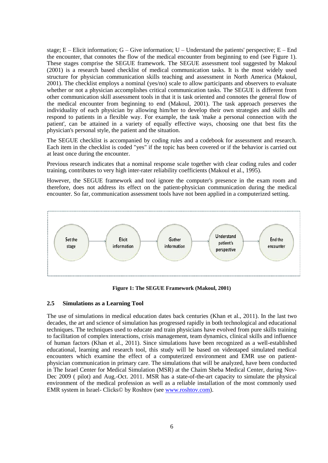stage;  $E$  – Elicit information;  $G$  – Give information;  $U$  – Understand the patients' perspective;  $E$  – End the encounter, that connotes the flow of the medical encounter from beginning to end (see Figure 1). These stages comprise the SEGUE framework. The SEGUE assessment tool suggested by Makoul (2001) is a research based checklist of medical communication tasks. It is the most widely used structure for physician communication skills teaching and assessment in North America (Makoul, 2001). The checklist employs a nominal (yes/no) scale to allow participants and observers to evaluate whether or not a physician accomplishes critical communication tasks. The SEGUE is different from other communication skill assessment tools in that it is task oriented and connotes the general flow of the medical encounter from beginning to end (Makoul, 2001). The task approach preserves the individuality of each physician by allowing him/her to develop their own strategies and skills and respond to patients in a flexible way. For example, the task 'make a personal connection with the patient', can be attained in a variety of equally effective ways, choosing one that best fits the physician's personal style, the patient and the situation.

The SEGUE checklist is accompanied by coding rules and a codebook for assessment and research. Each item in the checklist is coded "yes" if the topic has been covered or if the behavior is carried out at least once during the encounter.

Previous research indicates that a nominal response scale together with clear coding rules and coder training, contributes to very high inter-rater reliability coefficients (Makoul et al., 1995).

However, the SEGUE framework and tool ignore the computer's presence in the exam room and therefore, does not address its effect on the patient-physician communication during the medical encounter. So far, communication assessment tools have not been applied in a computerized setting.



**Figure 1: The SEGUE Framework (Makoul, 2001)**

#### **2.5 Simulations as a Learning Tool**

The use of simulations in medical education dates back centuries (Khan et al., 2011). In the last two decades, the art and science of simulation has progressed rapidly in both technological and educational techniques. The techniques used to educate and train physicians have evolved from pure skills training to facilitation of complex interactions, crisis management, team dynamics, clinical skills and influence of human factors (Khan et al., 2011). Since simulations have been recognized as a well-established educational, learning and research tool, this study will be based on videotaped simulated medical encounters which examine the effect of a computerized environment and EMR use on patientphysician communication in primary care. The simulations that will be analyzed, have been conducted in The Israel Center for Medical Simulation (MSR) at the Chaim Sheba Medical Center, during Nov-Dec 2009 ( pilot) and Aug.-Oct. 2011. MSR has a state-of-the-art capacity to simulate the physical environment of the medical profession as well as a reliable installation of the most commonly used EMR system in Israel- Clicks© by Roshtov (see [www.roshtov.com\)](http://www.roshtov.com/).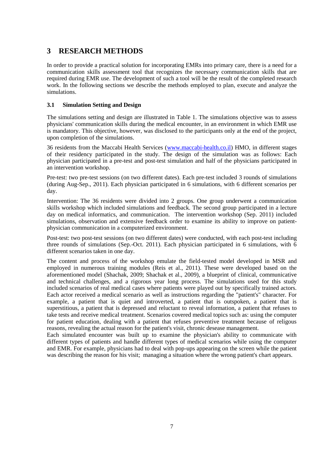# **3 RESEARCH METHODS**

In order to provide a practical solution for incorporating EMRs into primary care, there is a need for a communication skills assessment tool that recognizes the necessary communication skills that are required during EMR use. The development of such a tool will be the result of the completed research work. In the following sections we describe the methods employed to plan, execute and analyze the simulations.

#### **3.1 Simulation Setting and Design**

The simulations setting and design are illustrated in Table 1. The simulations objective was to assess physicians' communication skills during the medical encounter, in an environment in which EMR use is mandatory. This objective, however, was disclosed to the participants only at the end of the project, upon completion of the simulations.

36 residents from the Maccabi Health Services [\(www.maccabi-health.co.il\)](http://www.maccabi-health.co.il/) HMO, in different stages of their residency participated in the study. The design of the simulation was as follows: Each physician participated in a pre-test and post-test simulation and half of the physicians participated in an intervention workshop.

Pre-test: two pre-test sessions (on two different dates). Each pre-test included 3 rounds of simulations (during Aug-Sep., 2011). Each physician participated in 6 simulations, with 6 different scenarios per day.

Intervention: The 36 residents were divided into 2 groups. One group underwent a communication skills workshop which included simulations and feedback. The second group participated in a lecture day on medical informatics, and communication. The intervention workshop (Sep. 2011) included simulations, observation and extensive feedback order to examine its ability to improve on patientphysician communication in a computerized environment.

Post-test: two post-test sessions (on two different dates) were conducted, with each post-test including three rounds of simulations (Sep.-Oct. 2011). Each physician participated in 6 simulations, with 6 different scenarios taken in one day.

The content and process of the workshop emulate the field-tested model developed in MSR and employed in numerous training modules (Reis et al., 2011). These were developed based on the aforementioned model (Shachak, 2009; Shachak et al., 2009), a blueprint of clinical, communicative and technical challenges, and a rigorous year long process. The simulations used for this study included scenarios of real medical cases where patients were played out by specifically trained actors. Each actor received a medical scenario as well as instructions regarding the "patient's" character. For example, a patient that is quiet and introverted, a patient that is outspoken, a patient that is superstitious, a patient that is depressed and reluctant to reveal information, a patient that refuses to take tests and receive medical treatment. Scenarios covered medical topics such as: using the computer for patient education, dealing with a patient that refuses preventive treatment because of religous reasons, revealing the actual reason for the patient's visit, chronic desease management.

Each simulated encounter was built up to examine the physician's ability to communicate with different types of patients and handle different types of medical scenarios while using the computer and EMR. For example, physicians had to deal with pop-ups appearing on the screen while the patient was describing the reason for his visit; managing a situation where the wrong patient's chart appears.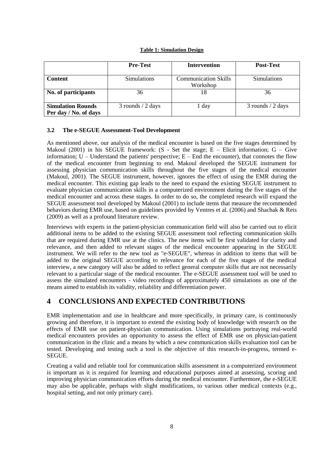#### **Table 1: Simulation Design**

|                                                   | <b>Pre-Test</b>      | <b>Intervention</b>                     | <b>Post-Test</b>     |
|---------------------------------------------------|----------------------|-----------------------------------------|----------------------|
| <b>Content</b>                                    | <b>Simulations</b>   | <b>Communication Skills</b><br>Workshop | <b>Simulations</b>   |
| No. of participants                               | 36                   | 18                                      | 36                   |
| <b>Simulation Rounds</b><br>Per day / No. of days | $3$ rounds $/2$ days | 1 day                                   | $3$ rounds $/2$ days |

#### **3.2 The e-SEGUE Assessment-Tool Development**

As mentioned above, our analysis of the medical encounter is based on the five stages determined by Makoul (2001) in his SEGUE framework: (S - Set the stage; E – Elicit information; G – Give information;  $U$  – Understand the patients' perspective;  $E$  – End the encounter), that connotes the flow of the medical encounter from beginning to end. Makoul developed the SEGUE instrument for assessing physician communication skills throughout the five stages of the medical encounter (Makoul, 2001). The SEGUE instrument, however, ignores the effect of using the EMR during the medical encounter. This existing gap leads to the need to expand the existing SEGUE instrument to evaluate physician communication skills in a computerized environment during the five stages of the medical encounter and across these stages. In order to do so, the completed research will expand the SEGUE assessment tool developed by Makoul (2001) to include items that measure the recommended behaviors during EMR use, based on guidelines provided by Ventres et al. (2006) and Shachak & Reis (2009) as well as a profound literature review.

Interviews with experts in the patient-physician communication field will also be carried out to elicit additional items to be added to the existing SEGUE assessment tool reflecting communication skills that are required during EMR use at the clinics. The new items will be first validated for clarity and relevance, and then added to relevant stages of the medical encounter appearing in the SEGUE instrument. We will refer to the new tool as "e-SEGUE", whereas in addition to items that will be added to the original SEGUE according to relevance for each of the five stages of the medical interview, a new category will also be added to reflect general computer skills that are not necessarily relevant to a particular stage of the medical encounter. The e-SEGUE assessment tool will be used to assess the simulated encounters - video recordings of approximately 450 simulations as one of the means aimed to establish its validity, reliability and differentiation power.

# **4 CONCLUSIONS AND EXPECTED CONTRIBUTIONS**

EMR implementation and use in healthcare and more specifically, in primary care, is continuously growing and therefore, it is important to extend the existing body of knowledge with research on the effects of EMR use on patient-physician communication. Using simulations portraying real-world medical encounters provides an opportunity to assess the effect of EMR use on physician-patient communication in the clinic and a means by which a new communication skills evaluation tool can be tested. Developing and testing such a tool is the objective of this research-in-progress, termed e-SEGUE.

Creating a valid and reliable tool for communication skills assessment in a computerized environment is important as it is required for learning and educational purposes aimed at assessing, scoring and improving physician communication efforts during the medical encounter. Furthermore, the e-SEGUE may also be applicable, perhaps with slight modifications, to various other medical contexts (e.g., hospital setting, and not only primary care).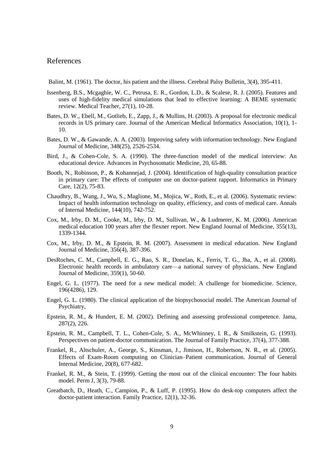#### References

Balint, M. (1961). The doctor, his patient and the illness. Cerebral Palsy Bulletin, 3(4), 395-411.

- Issenberg, B.S., Mcgaghie, W. C., Petrusa, E. R., Gordon, L.D., & Scalese, R. J. (2005). Features and uses of high-fidelity medical simulations that lead to effective learning: A BEME systematic review. Medical Teacher, 27(1), 10-28.
- Bates, D. W., Ebell, M., Gotlieb, E., Zapp, J., & Mullins, H. (2003). A proposal for electronic medical records in US primary care. Journal of the American Medical Informatics Association, 10(1), 1- 10.
- Bates, D. W., & Gawande, A. A. (2003). Improving safety with information technology. New England Journal of Medicine, 348(25), 2526-2534.
- Bird, J., & Cohen-Cole, S. A. (1990). The three-function model of the medical interview: An educational device. Advances in Psychosomatic Medicine, 20, 65-88.
- Booth, N., Robinson, P., & Kohannejad, J. (2004). Identification of high-quality consultation practice in primary care: The effects of computer use on doctor-patient rapport. Informatics in Primary Care, 12(2), 75-83.
- Chaudhry, B., Wang, J., Wu, S., Maglione, M., Mojica, W., Roth, E., et al. (2006). Systematic review: Impact of health information technology on quality, efficiency, and costs of medical care. Annals of Internal Medicine, 144(10), 742-752.
- Cox, M., Irby, D. M., Cooke, M., Irby, D. M., Sullivan, W., & Ludmerer, K. M. (2006). American medical education 100 years after the flexner report. New England Journal of Medicine, 355(13), 1339-1344.
- Cox, M., Irby, D. M., & Epstein, R. M. (2007). Assessment in medical education. New England Journal of Medicine, 356(4), 387-396.
- DesRoches, C. M., Campbell, E. G., Rao, S. R., Donelan, K., Ferris, T. G., Jha, A., et al. (2008). Electronic health records in ambulatory care—a national survey of physicians. New England Journal of Medicine, 359(1), 50-60.
- Engel, G. L. (1977). The need for a new medical model: A challenge for biomedicine. Science, 196(4286), 129.
- Engel, G. L. (1980). The clinical application of the biopsychosocial model. The American Journal of Psychiatry,
- Epstein, R. M., & Hundert, E. M. (2002). Defining and assessing professional competence. Jama, 287(2), 226.
- Epstein, R. M., Campbell, T. L., Cohen-Cole, S. A., McWhinney, I. R., & Smilkstein, G. (1993). Perspectives on patient-doctor communication. The Journal of Family Practice, 37(4), 377-388.
- Frankel, R., Altschuler, A., George, S., Kinsman, J., Jimison, H., Robertson, N. R., et al. (2005). Effects of Exam‐Room computing on Clinician–Patient communication. Journal of General Internal Medicine, 20(8), 677-682.
- Frankel, R. M., & Stein, T. (1999). Getting the most out of the clinical encounter: The four habits model. Perm J, 3(3), 79-88.
- Greatbatch, D., Heath, C., Campion, P., & Luff, P. (1995). How do desk-top computers affect the doctor-patient interaction. Family Practice, 12(1), 32-36.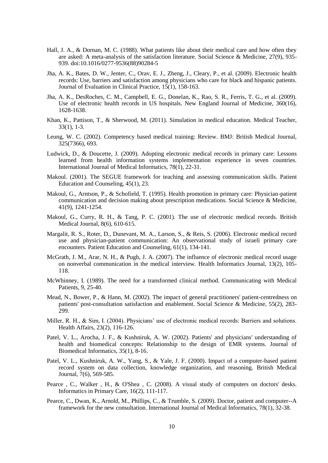- Hall, J. A., & Dornan, M. C. (1988). What patients like about their medical care and how often they are asked: A meta-analysis of the satisfaction literature. Social Science & Medicine, 27(9), 935- 939. doi:10.1016/0277-9536(88)90284-5
- Jha, A. K., Bates, D. W., Jenter, C., Orav, E. J., Zheng, J., Cleary, P., et al. (2009). Electronic health records: Use, barriers and satisfaction among physicians who care for black and hispanic patients. Journal of Evaluation in Clinical Practice, 15(1), 158-163.
- Jha, A. K., DesRoches, C. M., Campbell, E. G., Donelan, K., Rao, S. R., Ferris, T. G., et al. (2009). Use of electronic health records in US hospitals. New England Journal of Medicine, 360(16), 1628-1638.
- Khan, K., Pattison, T., & Sherwood, M. (2011). Simulation in medical education. Medical Teacher, 33(1), 1-3.
- Leung, W. C. (2002). Competency based medical training: Review. BMJ: British Medical Journal, 325(7366), 693.
- Ludwick, D., & Doucette, J. (2009). Adopting electronic medical records in primary care: Lessons learned from health information systems implementation experience in seven countries. International Journal of Medical Informatics, 78(1), 22-31.
- Makoul. (2001). The SEGUE framework for teaching and assessing communication skills. Patient Education and Counseling, 45(1), 23.
- Makoul, G., Arntson, P., & Schofield, T. (1995). Health promotion in primary care: Physician-patient communication and decision making about prescription medications. Social Science & Medicine, 41(9), 1241-1254.
- Makoul, G., Curry, R. H., & Tang, P. C. (2001). The use of electronic medical records. British Medical Journal, 8(6), 610-615.
- Margalit, R. S., Roter, D., Dunevant, M. A., Larson, S., & Reis, S. (2006). Electronic medical record use and physician-patient communication: An observational study of israeli primary care encounters. Patient Education and Counseling, 61(1), 134-141.
- McGrath, J. M., Arar, N. H., & Pugh, J. A. (2007). The influence of electronic medical record usage on nonverbal communication in the medical interview. Health Informatics Journal, 13(2), 105- 118.
- McWhinney, I. (1989). The need for a transformed clinical method. Communicating with Medical Patients, 9, 25-40.
- Mead, N., Bower, P., & Hann, M. (2002). The impact of general practitioners' patient-centredness on patients' post-consultation satisfaction and enablement. Social Science & Medicine, 55(2), 283- 299.
- Miller, R. H., & Sim, I. (2004). Physicians' use of electronic medical records: Barriers and solutions. Health Affairs, 23(2), 116-126.
- Patel, V. L., Arocha, J. F., & Kushniruk, A. W. (2002). Patients' and physicians' understanding of health and biomedical concepts: Relationship to the design of EMR systems. Journal of Biomedical Informatics, 35(1), 8-16.
- Patel, V. L., Kushniruk, A. W., Yang, S., & Yale, J. F. (2000). Impact of a computer-based patient record system on data collection, knowledge organization, and reasoning. British Medical Journal, 7(6), 569-585.
- Pearce, C., Walker, H., & O'Shea, C. (2008). A visual study of computers on doctors' desks. Informatics in Primary Care, 16(2), 111-117.
- Pearce, C., Dwan, K., Arnold, M., Phillips, C., & Trumble, S. (2009). Doctor, patient and computer--A framework for the new consultation. International Journal of Medical Informatics, 78(1), 32-38.